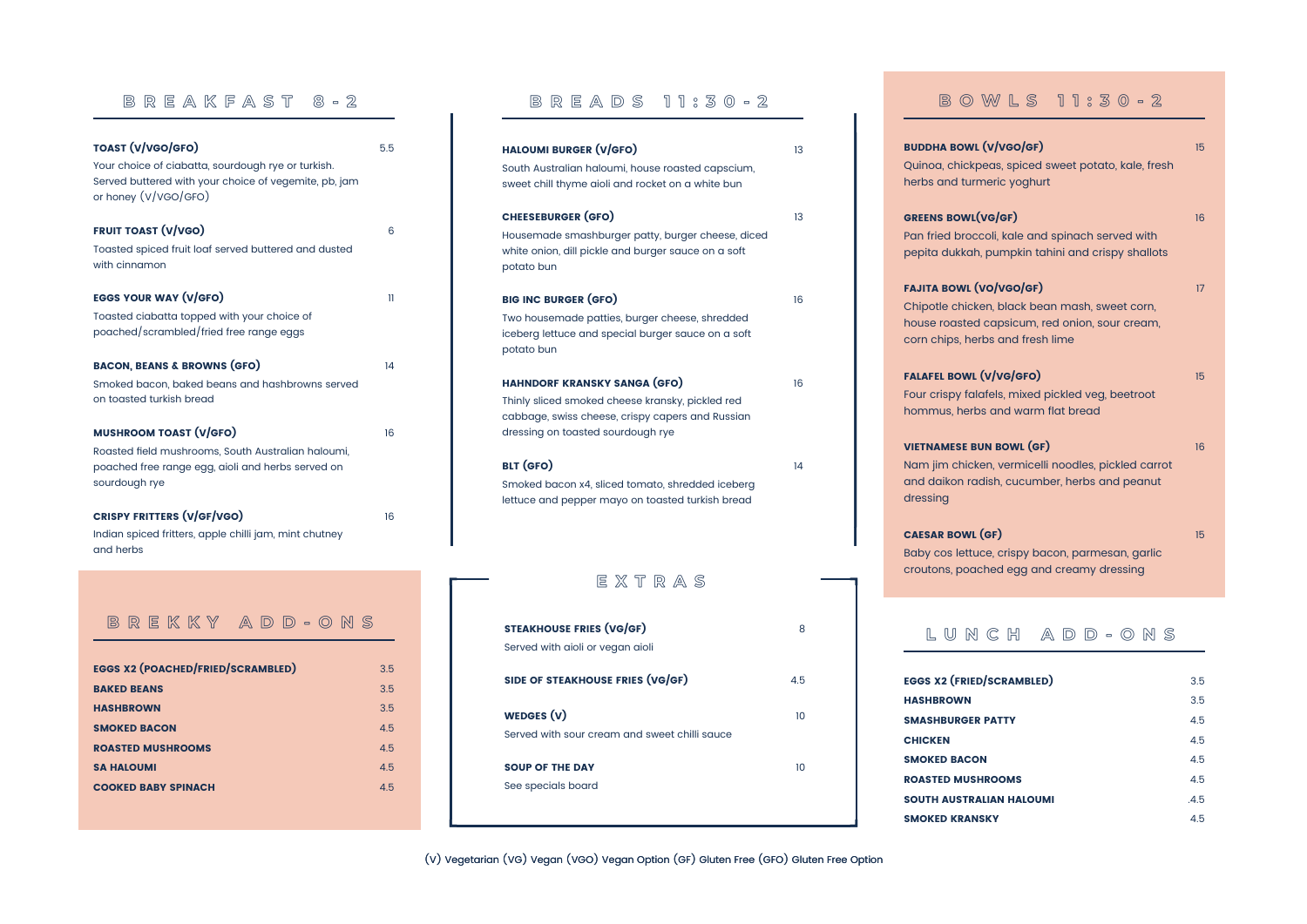(V) Vegetarian (VG) Vegan (VGO) Vegan Option (GF) Gluten Free (GFO) Gluten Free Option

| W L S 11:30 - 2                                                                                     |    |
|-----------------------------------------------------------------------------------------------------|----|
| <b>v/vgo/gF)</b><br>as, spiced sweet potato, kale, fresh<br>eric yoghurt                            | 15 |
| G(GF)<br>bli, kale and spinach served with<br>bumpkin tahini and crispy shallots                    | 16 |
| o/vGo/GF)<br>n, black bean mash, sweet corn,<br>apsicum, red onion, sour cream,<br>s and fresh lime | 17 |
| //vg/GFO)<br>els, mixed pickled veg, beetroot<br>and warm flat bread                                | 15 |
| <b>N BOWL (GF)</b><br>n, vermicelli noodles, pickled carrot<br>sh, cucumber, herbs and peanut       | 16 |
| F)<br>e, crispy bacon, parmesan, garlic<br>ed egg and creamy dressing                               | 15 |

dressing

L U N C H A D D - O N S

EGGS X2 (FRIED/S HASHBROWN **SMASHBURGER P CHICKEN** SMOKED BACON **ROASTED MUSHR** SOUTH AUSTRALI **SMOKED KRANSK** 

| 3.5  |
|------|
| 3.5  |
| 4.5  |
| 4.5  |
| 4.5  |
| 4.5  |
| .4.5 |
| 4.5  |
|      |

| <b>STEAKHOUSE FRIES (VG/GF)</b><br>Served with aioli or vegan aioli | 8   |
|---------------------------------------------------------------------|-----|
| SIDE OF STEAKHOUSE FRIES (VG/GF)                                    | 45. |
| WEDGES (V)<br>Served with sour cream and sweet chilli squce         | 10  |
| <b>SOUP OF THE DAY</b><br>See specials board                        | າດ  |

**CAESAR BOWL (G** Baby cos lettuce croutons, poach

B R E A D S 1 1 : 3 0 - 2

## B O V

BUDDHA BOWL (Y Quinoa, chickpe herbs and turmer

**GREENS BOWL(VG** Pan fried brocco pepita dukkah, p

**FAJITA BOWL (VG** Chipotle chicker house roasted c corn chips, herbs

**FALAFEL BOWL (V** Four crispy falaf hommus, herbs

**VIETNAMESE BUN** Nam jim chicker and daikon radis

| <b>TOAST (V/VGO/GFO)</b>                                                      | 5.5          | <b>HALOUMI BURGER (V/GFO)</b>                       | 13 |
|-------------------------------------------------------------------------------|--------------|-----------------------------------------------------|----|
| Your choice of ciabatta, sourdough rye or turkish.                            |              | South Australian haloumi, house roasted capscium,   |    |
| Served buttered with your choice of vegemite, pb, jam<br>or honey (V/VGO/GFO) |              | sweet chill thyme aioli and rocket on a white bun   |    |
|                                                                               |              | <b>CHEESEBURGER (GFO)</b>                           | 13 |
| <b>FRUIT TOAST (V/VGO)</b>                                                    | 6            | Housemade smashburger patty, burger cheese, diced   |    |
| Toasted spiced fruit loaf served buttered and dusted                          |              | white onion, dill pickle and burger sauce on a soft |    |
| with cinnamon                                                                 |              | potato bun                                          |    |
| <b>EGGS YOUR WAY (V/GFO)</b>                                                  | $\mathbf{1}$ | <b>BIG INC BURGER (GFO)</b>                         | 16 |
| Toasted ciabatta topped with your choice of                                   |              | Two housemade patties, burger cheese, shredded      |    |
| poached/scrambled/fried free range eggs                                       |              | iceberg lettuce and special burger sauce on a soft  |    |
|                                                                               |              | potato bun                                          |    |
| <b>BACON, BEANS &amp; BROWNS (GFO)</b>                                        | 14           |                                                     |    |
| Smoked bacon, baked beans and hashbrowns served                               |              | <b>HAHNDORF KRANSKY SANGA (GFO)</b>                 | 16 |
| on toasted turkish bread                                                      |              | Thinly sliced smoked cheese kransky, pickled red    |    |
|                                                                               |              | cabbage, swiss cheese, crispy capers and Russian    |    |
| <b>MUSHROOM TOAST (V/GFO)</b>                                                 | 16           | dressing on toasted sourdough rye                   |    |
| Roasted field mushrooms, South Australian haloumi,                            |              |                                                     |    |
| poached free range egg, aioli and herbs served on                             |              | <b>BLT (GFO)</b>                                    | 14 |
| sourdough rye                                                                 |              | Smoked bacon x4, sliced tomato, shredded iceberg    |    |
|                                                                               |              | lettuce and pepper mayo on toasted turkish bread    |    |
| <b>CRISPY FRITTERS (V/GF/VGO)</b>                                             | 16           |                                                     |    |
| Indian spiced fritters, apple chilli jam, mint chutney                        |              |                                                     |    |
| and herbs                                                                     |              |                                                     |    |
|                                                                               |              | $E$ $X$ $T$ $R$ $A$ $S$                             |    |

Т.

## B R E A K F A S T 8 - 2

# B R E K K Y A D D - O N S

| <b>EGGS X2 (POACHED/FRIED/SCRAMBLED)</b> | 35  |
|------------------------------------------|-----|
| <b>BAKED BEANS</b>                       | 3.5 |
| <b>HASHBROWN</b>                         | 3.5 |
| <b>SMOKED BACON</b>                      | 4.5 |
| <b>ROASTED MUSHROOMS</b>                 | 45  |
| <b>SA HALOUMI</b>                        | 45  |
| <b>COOKED BABY SPINACH</b>               | 45  |
|                                          |     |